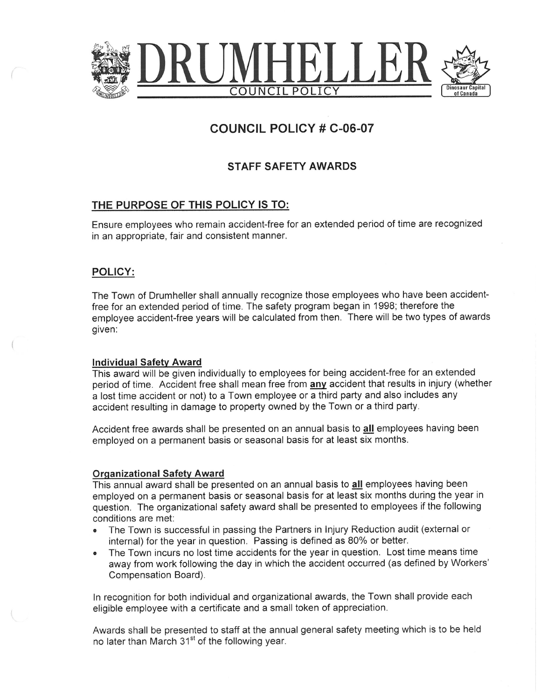

# COUNCIL POLICY # C-06-07

## STAFF SAFETY AWARDS

### THE PURPOSE OF THIS POLICY IS TO:

Ensure employees who remain accident-free for an extended period of time are recognized in an appropriate, fair and consistent manner.

#### POLICY:

The Town of Drumheller shall annually recognize those employees who have been accidentfree for an extended period of time. The safety program began in 1998; therefore the employee accident-free years will be calculated from then. There will be two types of awards given:

#### Individual Safety Award

This award will be given individually to employees for being accident~free for an extended period of time. Accident free shall mean free from any accident that results in injury (whether a lost time accident or not) to a Town employee or a third party and also includes any accident resulting in damage to property owned by the Town or a third party.

Accident free awards shall be presented on an annual basis to all employees having been employed on a permanent basis or seasonal basis for at least six months.

#### Organizational Safety Award

This annual award shall be presented on an annual basis to all employees having been employed on a permanent basis or seasonal basis for at least six months during the year in question. The organizational safety award shall be presented to employees if the following conditions are met:

- The Town is successful in passing the Partners in Injury Reduction audit (external or internal) for the year in question. Passing is defined as 80% or better.
- The Town incurs no lost time accidents for the year in question. Lost time means time away from work following the day in which the accident occurred (as defined by Workers' Compensation Board).

In recognition for both individual and organizational awards, the Town shall provide each eligible employee with a certificate and a small token of appreciation.

Awards shall be presented to staff at the annual general safety meeting which is to be held no later than March 31<sup>st</sup> of the following year.